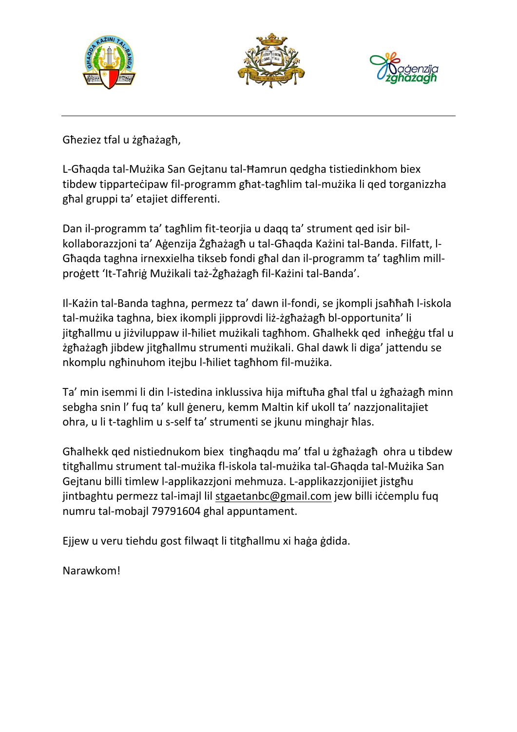





Għeziez tfal u żgħażagħ,

L-Għaqda tal-Mużika San Gejtanu tal-Ħamrun qedgha tistiedinkhom biex tibdew tipparteċipaw fil-programm għat-tagħlim tal-mużika li qed torganizzha għal gruppi ta' etajiet differenti.

Dan il-programm ta' tagħlim fit-teorjia u daqq ta' strument qed isir bilkollaborazzjoni ta' Aġenzija Żgħażagħ u tal-Għaqda Każini tal-Banda. Filfatt, l-Għaqda taghna irnexxielha tikseb fondi għal dan il-programm ta' tagħlim millproġett 'It-Taħriġ Mużikali taż-Żgħażagħ fil-Każini tal-Banda'.

Il-Każin tal-Banda taghna, permezz ta' dawn il-fondi, se jkompli jsaħħaħ l-iskola tal-mużika taghna, biex ikompli jipprovdi liż-żgħażagħ bl-opportunita' li jitgħallmu u jiżviluppaw il-ħiliet mużikali tagħhom. Għalhekk qed inħeġġu tfal u żgħażagħ jibdew jitgħallmu strumenti mużikali. Ghal dawk li diga' jattendu se nkomplu ngħinuhom itejbu l-ħiliet tagħhom fil-mużika.

Ta' min isemmi li din l-istedina inklussiva hija miftuħa għal tfal u żgħażagħ minn sebgha snin l' fuq ta' kull ġeneru, kemm Maltin kif ukoll ta' nazzjonalitajiet ohra, u li t-taghlim u s-self ta' strumenti se jkunu minghajr ħlas.

Għalhekk qed nistiednukom biex tingħaqdu ma' tfal u żgħażagħ ohra u tibdew titgħallmu strument tal-mużika fl-iskola tal-mużika tal-Għaqda tal-Mużika San Gejtanu billi timlew l-applikazzjoni mehmuza. L-applikazzjonijiet jistgħu jintbaghtu permezz tal-imajl lil [stgaetanbc@gmail.com](mailto:stgaetanbc@gmail.com) jew billi iċċemplu fuq numru tal-mobajl 79791604 ghal appuntament.

Ejjew u veru tiehdu gost filwaqt li titgħallmu xi haġa ġdida.

Narawkom!